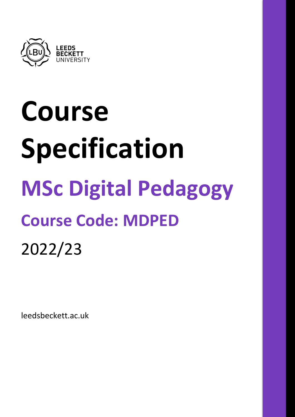

# **Course Specification MSc Digital Pedagogy Course Code: MDPED** 2022/23

leedsbeckett.ac.uk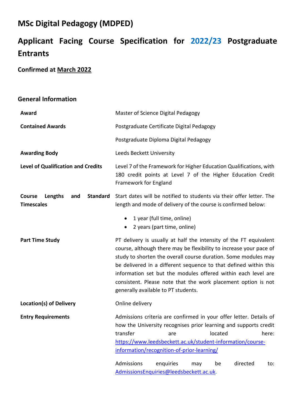# **MSc Digital Pedagogy (MDPED)**

# **Applicant Facing Course Specification for 2022/23 Postgraduate Entrants**

# **Confirmed at March 2022**

# **General Information**

| Award                                                                   | Master of Science Digital Pedagogy                                                                                                                                                                                                                                                                                                                                                                                                                     |  |
|-------------------------------------------------------------------------|--------------------------------------------------------------------------------------------------------------------------------------------------------------------------------------------------------------------------------------------------------------------------------------------------------------------------------------------------------------------------------------------------------------------------------------------------------|--|
| <b>Contained Awards</b>                                                 | Postgraduate Certificate Digital Pedagogy                                                                                                                                                                                                                                                                                                                                                                                                              |  |
|                                                                         | Postgraduate Diploma Digital Pedagogy                                                                                                                                                                                                                                                                                                                                                                                                                  |  |
| <b>Awarding Body</b>                                                    | Leeds Beckett University                                                                                                                                                                                                                                                                                                                                                                                                                               |  |
| <b>Level of Qualification and Credits</b>                               | Level 7 of the Framework for Higher Education Qualifications, with<br>180 credit points at Level 7 of the Higher Education Credit<br>Framework for England                                                                                                                                                                                                                                                                                             |  |
| <b>Course</b><br>Lengths<br><b>Standard</b><br>and<br><b>Timescales</b> | Start dates will be notified to students via their offer letter. The<br>length and mode of delivery of the course is confirmed below:                                                                                                                                                                                                                                                                                                                  |  |
|                                                                         | 1 year (full time, online)<br>$\bullet$<br>2 years (part time, online)<br>$\bullet$                                                                                                                                                                                                                                                                                                                                                                    |  |
| <b>Part Time Study</b>                                                  | PT delivery is usually at half the intensity of the FT equivalent<br>course, although there may be flexibility to increase your pace of<br>study to shorten the overall course duration. Some modules may<br>be delivered in a different sequence to that defined within this<br>information set but the modules offered within each level are<br>consistent. Please note that the work placement option is not<br>generally available to PT students. |  |
| Location(s) of Delivery                                                 | Online delivery                                                                                                                                                                                                                                                                                                                                                                                                                                        |  |
| <b>Entry Requirements</b>                                               | Admissions criteria are confirmed in your offer letter. Details of<br>how the University recognises prior learning and supports credit<br>transfer<br>located<br>here:<br>are<br>https://www.leedsbeckett.ac.uk/student-information/course-<br>information/recognition-of-prior-learning/                                                                                                                                                              |  |
|                                                                         | Admissions<br>enquiries<br>directed<br>be<br>may<br>to:<br>AdmissionsEnquiries@leedsbeckett.ac.uk.                                                                                                                                                                                                                                                                                                                                                     |  |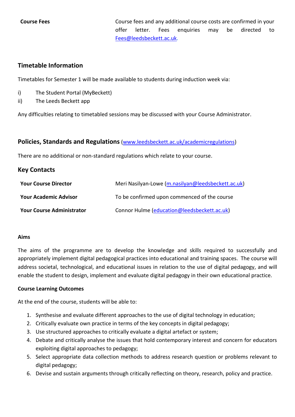**Course Fees** Course fees and any additional course costs are confirmed in your offer letter. Fees enquiries may be directed to [Fees@leedsbeckett.ac.uk.](mailto:Fees@leedsbeckett.ac.uk)

#### **Timetable Information**

Timetables for Semester 1 will be made available to students during induction week via:

- i) The Student Portal (MyBeckett)
- ii) The Leeds Beckett app

Any difficulties relating to timetabled sessions may be discussed with your Course Administrator.

#### **Policies, Standards and Regulations** [\(www.leedsbeckett.ac.uk/academicregulations\)](http://www.leedsbeckett.ac.uk/academicregulations)

There are no additional or non-standard regulations which relate to your course.

#### **Key Contacts**

| <b>Your Course Director</b>      | Meri Nasilyan-Lowe (m.nasilyan@leedsbeckett.ac.uk) |  |
|----------------------------------|----------------------------------------------------|--|
| <b>Your Academic Advisor</b>     | To be confirmed upon commenced of the course       |  |
| <b>Your Course Administrator</b> | Connor Hulme (education@leedsbeckett.ac.uk)        |  |

#### **Aims**

The aims of the programme are to develop the knowledge and skills required to successfully and appropriately implement digital pedagogical practices into educational and training spaces. The course will address societal, technological, and educational issues in relation to the use of digital pedagogy, and will enable the student to design, implement and evaluate digital pedagogy in their own educational practice.

#### **Course Learning Outcomes**

At the end of the course, students will be able to:

- 1. Synthesise and evaluate different approaches to the use of digital technology in education;
- 2. Critically evaluate own practice in terms of the key concepts in digital pedagogy;
- 3. Use structured approaches to critically evaluate a digital artefact or system;
- 4. Debate and critically analyse the issues that hold contemporary interest and concern for educators exploiting digital approaches to pedagogy;
- 5. Select appropriate data collection methods to address research question or problems relevant to digital pedagogy;
- 6. Devise and sustain arguments through critically reflecting on theory, research, policy and practice.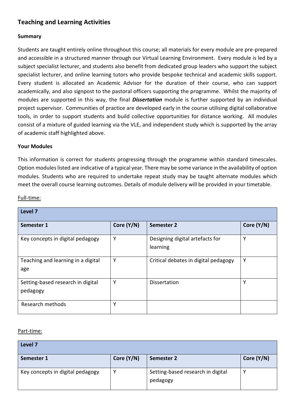# **Teaching and Learning Activities**

#### **Summary**

Students are taught entirely online throughout this course; all materials for every module are pre-prepared and accessible in a structured manner through our Virtual Learning Environment. Every module is led by a subject specialist lecturer, and students also benefit from dedicated group leaders who support the subject specialist lecturer, and online learning tutors who provide bespoke technical and academic skills support. Every student is allocated an Academic Advisor for the duration of their course, who can support academically, and also signpost to the pastoral officers supporting the programme. Whilst the majority of modules are supported in this way, the final *Dissertation* module is further supported by an individual project supervisor. Communities of practice are developed early in the course utilising digital collaborative tools, in order to support students and build collective opportunities for distance working. All modules consist of a mixture of guided learning via the VLE, and independent study which is supported by the array of academic staff highlighted above.

#### **Your Modules**

This information is correct for students progressing through the programme within standard timescales. Option modules listed are indicative of a typical year. There may be some variance in the availability of option modules. Students who are required to undertake repeat study may be taught alternate modules which meet the overall course learning outcomes. Details of module delivery will be provided in your timetable.

#### Full-time:

| Level <sub>7</sub>                            |            |                                             |            |
|-----------------------------------------------|------------|---------------------------------------------|------------|
| Semester 1                                    | Core (Y/N) | Semester 2                                  | Core (Y/N) |
| Key concepts in digital pedagogy              | Υ          | Designing digital artefacts for<br>learning | v          |
| Teaching and learning in a digital<br>age     | Υ          | Critical debates in digital pedagogy        | Υ          |
| Setting-based research in digital<br>pedagogy | Υ          | <b>Dissertation</b>                         | v          |
| Research methods                              | Υ          |                                             |            |

#### Part-time:

| Level 7                          |            |                                               |            |
|----------------------------------|------------|-----------------------------------------------|------------|
| Semester 1                       | Core (Y/N) | Semester 2                                    | Core (Y/N) |
| Key concepts in digital pedagogy |            | Setting-based research in digital<br>pedagogy |            |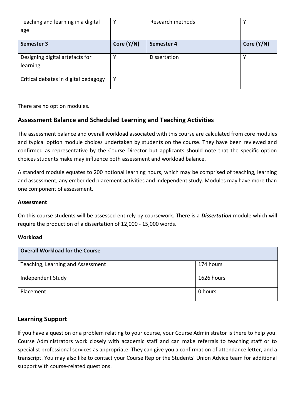| Teaching and learning in a digital          | Υ          | Research methods    | v          |
|---------------------------------------------|------------|---------------------|------------|
| age                                         |            |                     |            |
| Semester 3                                  | Core (Y/N) | Semester 4          | Core (Y/N) |
| Designing digital artefacts for<br>learning | v          | <b>Dissertation</b> | v          |
| Critical debates in digital pedagogy        | Υ          |                     |            |

There are no option modules.

### **Assessment Balance and Scheduled Learning and Teaching Activities**

The assessment balance and overall workload associated with this course are calculated from core modules and typical option module choices undertaken by students on the course. They have been reviewed and confirmed as representative by the Course Director but applicants should note that the specific option choices students make may influence both assessment and workload balance.

A standard module equates to 200 notional learning hours, which may be comprised of teaching, learning and assessment, any embedded placement activities and independent study. Modules may have more than one component of assessment.

#### **Assessment**

On this course students will be assessed entirely by coursework. There is a *Dissertation* module which will require the production of a dissertation of 12,000 - 15,000 words.

#### **Workload**

| <b>Overall Workload for the Course</b> |            |
|----------------------------------------|------------|
| Teaching, Learning and Assessment      | 174 hours  |
| Independent Study                      | 1626 hours |
| Placement                              | 0 hours    |

## **Learning Support**

If you have a question or a problem relating to your course, your Course Administrator is there to help you. Course Administrators work closely with academic staff and can make referrals to teaching staff or to specialist professional services as appropriate. They can give you a confirmation of attendance letter, and a transcript. You may also like to contact your Course Rep or the Students' Union Advice team for additional support with course-related questions.